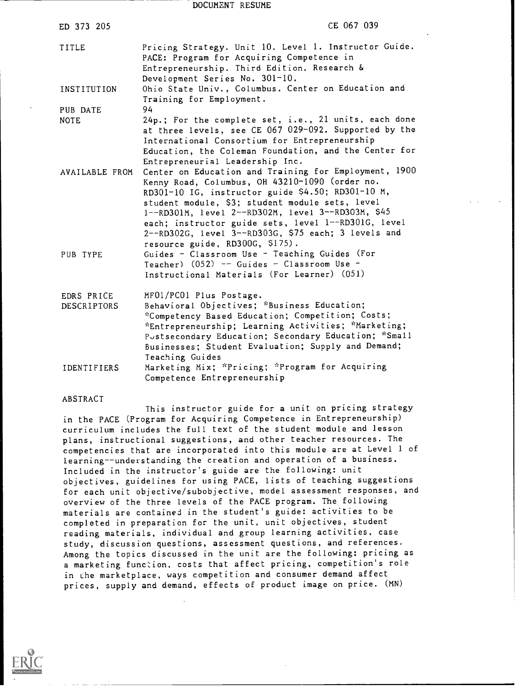DOCUMENT RESUME

| ED 373 205                       | CE 067 039                                                                                                                                                                                                                                                                                                                  |
|----------------------------------|-----------------------------------------------------------------------------------------------------------------------------------------------------------------------------------------------------------------------------------------------------------------------------------------------------------------------------|
| TITLE                            | Pricing Strategy. Unit 10. Level 1. Instructor Guide.<br>PACE: Program for Acquiring Competence in<br>Entrepreneurship. Third Edition. Research &<br>Development Series No. 301-10.                                                                                                                                         |
| INSTITUTION                      | Ohio State Univ., Columbus. Center on Education and<br>Training for Employment.                                                                                                                                                                                                                                             |
| PUB DATE                         | 94                                                                                                                                                                                                                                                                                                                          |
| <b>NOTE</b>                      | 24p.; For the complete set, i.e., 21 units, each done<br>at three levels, see CE 067 029-092. Supported by the<br>International Consortium for Entrepreneurship<br>Education, the Coleman Foundation, and the Center for<br>Entrepreneurial Leadership Inc.                                                                 |
| AVAILABLE FROM                   | Center on Education and Training for Employment, 1900<br>Kenny Road, Columbus, OH 43210-1090 (order no.<br>RD301-10 IG, instructor guide \$4.50; RD301-10 M,<br>student module, \$3; student module sets, level<br>1--RD301M, level 2--RD302M, level 3--RD303M, \$45<br>each; instructor guide sets, level 1--RD301G, level |
| PUB TYPE                         | 2--RD302G, level 3--RD303G, \$75 each; 3 levels and<br>resource guide, RD300G, \$175).<br>Guides - Classroom Use - Teaching Guides (For<br>Teacher) $(052)$ -- Guides - Classroom Use -<br>Instructional Materials (For Learner) (051)                                                                                      |
| EDRS PRICE<br><b>DESCRIPTORS</b> | MF01/PC01 Plus Postage.<br>Behavioral Objectives; *Business Education;<br>*Competency Based Education; Competition; Costs;<br>*Entrepreneurship; Learning Activities; *Marketing;<br>Postsecondary Education; Secondary Education; *Small<br>Businesses; Student Evaluation; Supply and Demand;<br>Teaching Guides          |
| <b>IDENTIFIERS</b>               | Marketing Mix; *Pricing; *Program for Acquiring<br>Competence Entrepreneurship                                                                                                                                                                                                                                              |
| ABSTRACT                         |                                                                                                                                                                                                                                                                                                                             |

This instructor guide for a unit on pricing strategy in the PACE (Program for Acquiring Competence in Entrepreneurship) curriculum includes the full text of the student module and lesson plans, instructional suggestions, and other teacher resources. The competencies that are incorporated into this module are at Level <sup>1</sup> of learning--understanding the creation and operation of a business. Included in the instructor's guide are the following: unit objectives, guidelines for using PACE, lists of teaching suggestions for each unit objective/subobjective, model assessment responses, and overview of the three levels of the PACE program. The following materials are contained in the student's guide: activities to be completed in preparation for the unit, unit objectives, student reading materials, individual and group learning activities, case study, discussion questions, assessment questions, and references. Among the topics discussed in the unit are the following: pricing as a marketing function, costs that affect pricing, competition's role in Lhe marketplace, ways competition and consumer demand affect prices, supply and demand, effects of product image on price. (MN)

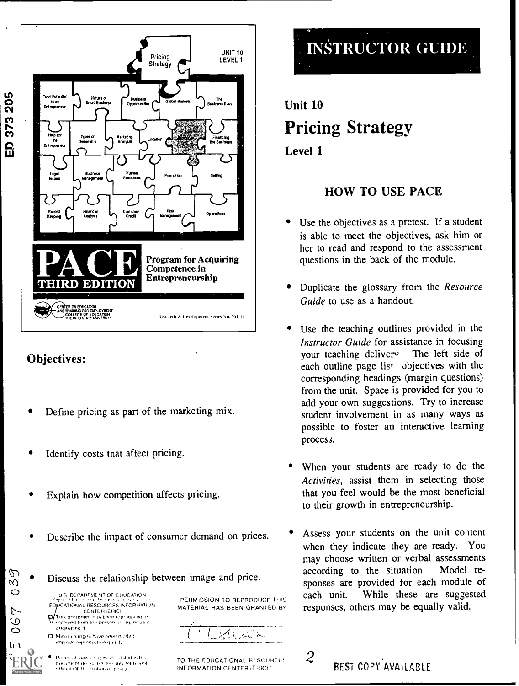

# Objectives:

- Define pricing as part of the marketing mix.
- Identify costs that affect pricing.
- Explain how competition affects pricing.
- Describe the impact of consumer demand on prices.
- $\bigcirc$   $\bigcirc$  Discuss the relationship between image and price.<br>  $\bigcirc$

US DEPARTMENT OF EDUCATION **EDDCATIONAL RESOURCES INFORMATION** CENTER ERIC/

Children of the changes have been made to This document n is been reproduced as:<br>received from the person or rimanization otiginating it.

improve reproduction quality

 $\mathbf{u}$  as  $\mathbf{u}$ 

 $\overline{L}$ 

Points of view of apendons stated in the<br>document do not necess anly represent official OE RI position or peley.

PERMISSION TO REPRODUCE THIS each unit. MATERIAL HAS BEEN GRANTED BY



TO THE EDUCATIONAL RESOURCES 2 BEST COPY AVAILARLE INFORMATION CENTER (ERIC) '



# Unit 10 Pricing Strategy Level 1

# HOW TO USE PACE

- Use the objectives as a pretest. If a student is able to meet the objectives, ask him or her to read and respond to the assessment questions in the back of the module.
- Duplicate the glossary from the Resource Guide to use as a handout.
- Use the teaching outlines provided in the Instructor Guide for assistance in focusing your teaching deliver The left side of each outline page list objectives with the corresponding headings (margin questions) from the unit. Space is provided for you to add your own suggestions. Try to increase student involvement in as many ways as possible to foster an interactive learning process.
- When your students are ready to do the Activities, assist them in selecting those that you feel would be the most beneficial to their growth in entrepreneurship.
- Assess your students on the unit content when they indicate they are ready. You may choose written or verbal assessments according to the situation. Model responses are provided for each module of While these are suggested responses, others may be equally valid.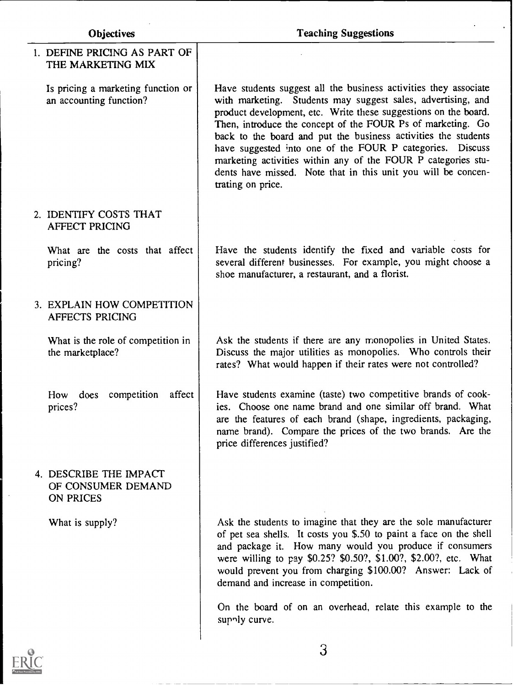| Objectives                                                    | <b>Teaching Suggestions</b>                                                                                                                                                                                                                                                                                                                                                                                                                                                                                                                              |  |  |
|---------------------------------------------------------------|----------------------------------------------------------------------------------------------------------------------------------------------------------------------------------------------------------------------------------------------------------------------------------------------------------------------------------------------------------------------------------------------------------------------------------------------------------------------------------------------------------------------------------------------------------|--|--|
| 1. DEFINE PRICING AS PART OF<br>THE MARKETING MIX             |                                                                                                                                                                                                                                                                                                                                                                                                                                                                                                                                                          |  |  |
| Is pricing a marketing function or<br>an accounting function? | Have students suggest all the business activities they associate<br>with marketing. Students may suggest sales, advertising, and<br>product development, etc. Write these suggestions on the board.<br>Then, introduce the concept of the FOUR Ps of marketing. Go<br>back to the board and put the business activities the students<br>have suggested into one of the FOUR P categories. Discuss<br>marketing activities within any of the FOUR P categories stu-<br>dents have missed. Note that in this unit you will be concen-<br>trating on price. |  |  |
| 2. IDENTIFY COSTS THAT<br><b>AFFECT PRICING</b>               |                                                                                                                                                                                                                                                                                                                                                                                                                                                                                                                                                          |  |  |
| What are the costs that affect<br>pricing?                    | Have the students identify the fixed and variable costs for<br>several different businesses. For example, you might choose a<br>shoe manufacturer, a restaurant, and a florist.                                                                                                                                                                                                                                                                                                                                                                          |  |  |
| 3. EXPLAIN HOW COMPETITION<br><b>AFFECTS PRICING</b>          |                                                                                                                                                                                                                                                                                                                                                                                                                                                                                                                                                          |  |  |
| What is the role of competition in<br>the marketplace?        | Ask the students if there are any monopolies in United States.<br>Discuss the major utilities as monopolies. Who controls their<br>rates? What would happen if their rates were not controlled?                                                                                                                                                                                                                                                                                                                                                          |  |  |
| How does competition<br>affect<br>prices?                     | Have students examine (taste) two competitive brands of cook-<br>ies. Choose one name brand and one similar off brand. What<br>are the features of each brand (shape, ingredients, packaging,<br>name brand). Compare the prices of the two brands. Are the<br>price differences justified?                                                                                                                                                                                                                                                              |  |  |
| 4. DESCRIBE THE IMPACT<br>OF CONSUMER DEMAND<br>ON PRICES     |                                                                                                                                                                                                                                                                                                                                                                                                                                                                                                                                                          |  |  |
| What is supply?                                               | Ask the students to imagine that they are the sole manufacturer<br>of pet sea shells. It costs you \$.50 to paint a face on the shell<br>and package it. How many would you produce if consumers<br>were willing to pay \$0.25? \$0.50?, \$1.00?, \$2.00?, etc. What<br>would prevent you from charging \$100.00? Answer: Lack of<br>demand and increase in competition.                                                                                                                                                                                 |  |  |
|                                                               | On the board of on an overhead, relate this example to the<br>supply curve.                                                                                                                                                                                                                                                                                                                                                                                                                                                                              |  |  |
| $\odot$                                                       | 3                                                                                                                                                                                                                                                                                                                                                                                                                                                                                                                                                        |  |  |

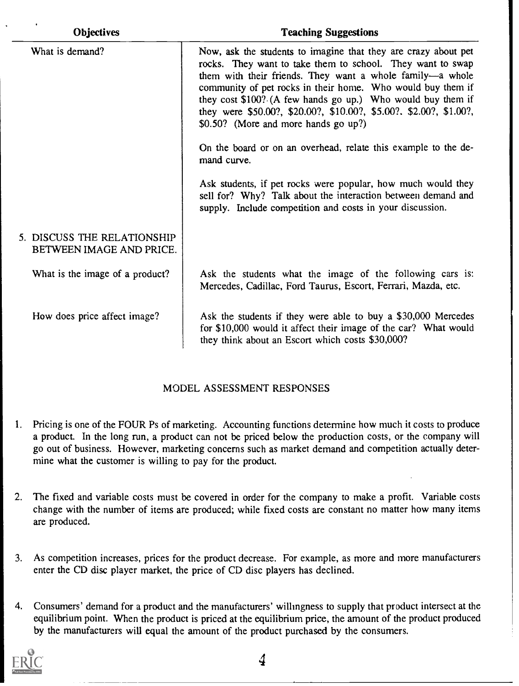| <b>Objectives</b>                                       | <b>Teaching Suggestions</b>                                                                                                                                                                                                                                                                                                                                                                                                                                                                                            |
|---------------------------------------------------------|------------------------------------------------------------------------------------------------------------------------------------------------------------------------------------------------------------------------------------------------------------------------------------------------------------------------------------------------------------------------------------------------------------------------------------------------------------------------------------------------------------------------|
| What is demand?                                         | Now, ask the students to imagine that they are crazy about pet<br>rocks. They want to take them to school. They want to swap<br>them with their friends. They want a whole family—a whole<br>community of pet rocks in their home. Who would buy them if<br>they cost \$100? (A few hands go up.) Who would buy them if<br>they were \$50.00?, \$20.00?, \$10.00?, \$5.00?, \$2.00?, \$1.00?,<br>\$0.50? (More and more hands go up?)<br>On the board or on an overhead, relate this example to the de-<br>mand curve. |
|                                                         | Ask students, if pet rocks were popular, how much would they<br>sell for? Why? Talk about the interaction between demand and<br>supply. Include competition and costs in your discussion.                                                                                                                                                                                                                                                                                                                              |
| 5. DISCUSS THE RELATIONSHIP<br>BETWEEN IMAGE AND PRICE. |                                                                                                                                                                                                                                                                                                                                                                                                                                                                                                                        |
| What is the image of a product?                         | Ask the students what the image of the following cars is:<br>Mercedes, Cadillac, Ford Taurus, Escort, Ferrari, Mazda, etc.                                                                                                                                                                                                                                                                                                                                                                                             |
| How does price affect image?                            | Ask the students if they were able to buy a \$30,000 Mercedes<br>for \$10,000 would it affect their image of the car? What would<br>they think about an Escort which costs \$30,000?                                                                                                                                                                                                                                                                                                                                   |

#### MODEL ASSESSMENT RESPONSES

- 1. Pricing is one of the FOUR Ps of marketing. Accounting functions determine how much it costs to produce a product. In the long run, a product can not be priced below the production costs, or the company will go out of business. However, marketing concerns such as market demand and competition actually determine what the customer is willing to pay for the product.
- 2. The fixed and variable costs must be covered in order for the company to make a profit. Variable costs change with the number of items are produced; while fixed costs are constant no matter how many items are produced.
- 3. As competition increases, prices for the product decrease. For example, as more and more manufacturers enter the CD disc player market, the price of CD disc players has declined.
- 4. Consumers' demand for a product and the manufacturers' willingness to supply that product intersect at the equilibrium point. When the product is priced at the equilibrium price, the amount of the product produced by the manufacturers will equal the amount of the product purchased by the consumers.

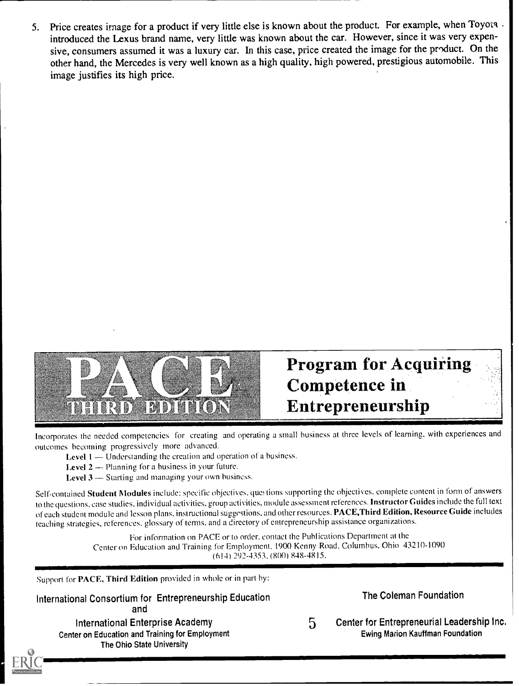5. Price creates image for a product if very little else is known about the product. For example, when Toyota. introduced the Lexus brand name, very little was known about the car. However, since it was very expensive, consumers assumed it was a luxury car. In this case, price created the image for the product. On the other hand, the Mercedes is very well known as a high quality, high powered, prestigious automobile. This image justifies its high price.



# Program for Acquiring Competence in Entrepreneurship

Incorporates the needed competencies for creating and operating a small business at three levels of learning, with experiences and outcomes becoming progressively more advanced.

Level  $1 -$  Understanding the creation and operation of a business.

**Level 2**  $-$  Planning for a business in your future.

**Level**  $3$   $-$  Starting and managing your own business.

Self-contained Student Modules include: specific objectives, questions supporting the objectives, complete content in form of answers to the questions, case studies, individual activities. group activities, module assessment references. Instructor Guides include the full text of each student module and lesson plans. instructional suggestions, and other resources.PACE,Third Edition, Resource Guide includes teaching strategies, references. glossary of terms. and a directory of entrepreneurship assistance organizations.

> For information on PACE or to order, contact the Publications Department at the Center on Education and Training for Employment, 1900 Kenny Road, Columbus, Ohio 43210-1090  $(614)$  292-4353,  $(800)$  848-4815.

Support for PACE, Third Edition provided in whole or in part by:

International Consortium for Entrepreneurship Education and International Enterprise Academy Center on Education and Training for Employment

The Ohio State University

The Coleman Foundation

5 Center for Entrepreneurial Leadership Inc. Ewing Marion Kauffman Foundation

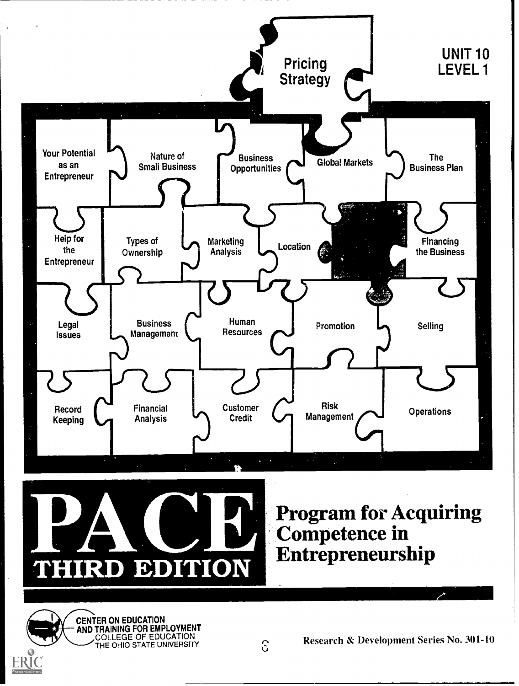

THIRD EDITION Entrepreneurship

Competence in

CENTER ON EDUCATION AND TRAINING FOR EMPLOYMENT COLLEGE OF EDUCATION<br>THE OHIO STATE UNIVERSITY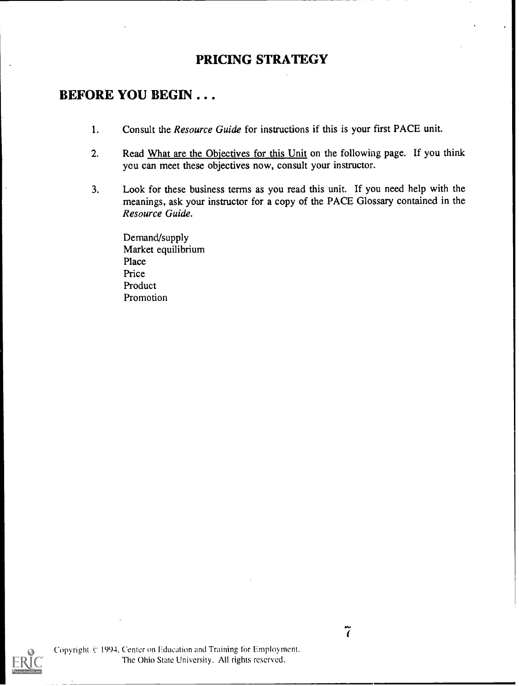#### PRICING STRATEGY

#### BEFORE YOU BEGIN .. .

- 1. Consult the Resource Guide for instructions if this is your first PACE unit.
- 2. Read What are the Objectives for this Unit on the following page. If you think you can meet these objectives now, consult your instructor.
- 3. Look for these business terms as you read this unit. If you need help with the meanings, ask your instructor for a copy of the PACE Glossary contained in the Resource Guide.

Demand/supply Market equilibrium Place Price Product Promotion

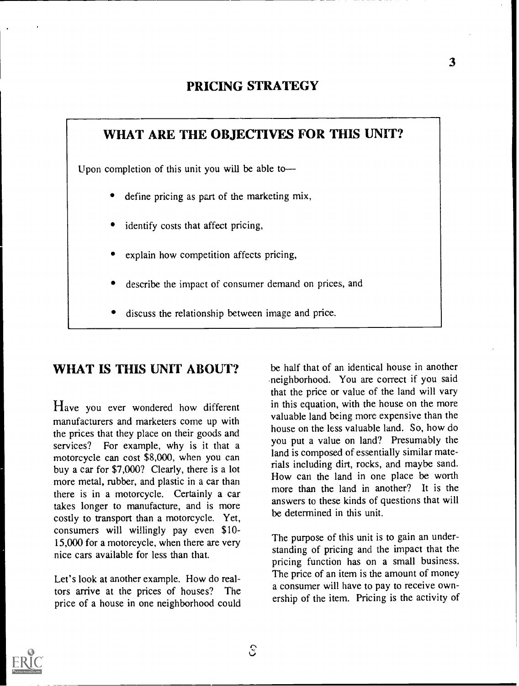#### PRICING STRATEGY

# WHAT ARE THE OBJECTIVES FOR THIS UNIT? Upon completion of this unit you will be able to define pricing as part of the marketing mix, identify costs that affect pricing, explain how competition affects pricing, describe the impact of consumer demand on prices, and discuss the relationship between image and price.

# WHAT IS THIS UNIT ABOUT?

Have you ever wondered how different manufacturers and marketers come up with the prices that they place on their goods and services? For example, why is it that a motorcycle can cost \$8,000, when you can buy a car for \$7,000? Clearly, there is a lot more metal, rubber, and plastic in a car than there is in a motorcycle. Certainly a car takes longer to manufacture, and is more costly to transport than a motorcycle. Yet, consumers will willingly pay even \$10- 15,000 for a motorcycle, when there are very nice cars available for less than that.

Let's look at another example. How do realtors arrive at the prices of houses? The price of a house in one neighborhood could

be half that of an identical house in another neighborhood. You are correct if you said that the price or value of the land will vary in this equation, with the house on the more valuable land being more expensive than the house on the less valuable land. So, how do you put a value on land? Presumably the land is composed of essentially similar materials including dirt, rocks, and maybe sand. How can the land in one place be worth more than the land in another? It is the answers to these kinds of questions that will be determined in this unit.

The purpose of this unit is to gain an understanding of pricing and the impact that the pricing function has on a small business. The price of an item is the amount of money a consumer will have to pay to receive ownership of the item. Pricing is the activity of

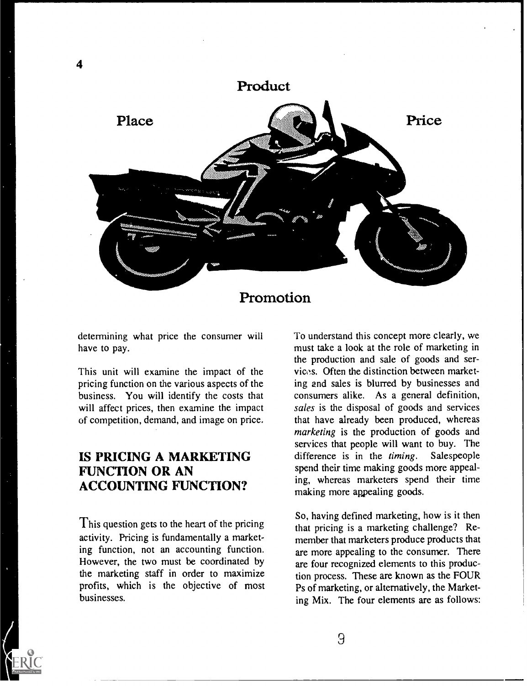

determining what price the consumer will have to pay.

This unit will examine the impact of the pricing function on the various aspects of the business. You will identify the costs that will affect prices, then examine the impact of competition, demand, and image on price.

# IS PRICING A MARKETING FUNCTION OR AN ACCOUNTING FUNCTION?

This question gets to the heart of the pricing activity. Pricing is fundamentally a marketing function, not an accounting function. However, the two must be coordinated by the marketing staff in order to maximize profits, which is the objective of most businesses.

To understand this concept more clearly, we must take a look at the role of marketing in the production and sale of goods and services. Often the distinction between marketing and sales is blurred by businesses and consumers alike. As a general definition, sales is the disposal of goods and services that have already been produced, whereas marketing is the production of goods and services that people will want to buy. The difference is in the timing. Salespeople spend their time making goods more appealing, whereas marketers spend their time making more appealing goods.

So, having defined marketing, how is it then that pricing is a marketing challenge? Remember that marketers produce products that are more appealing to the consumer. There are four recognized elements to this production process. These are known as the FOUR Ps of marketing, or alternatively, the Marketing Mix. The four elements are as follows: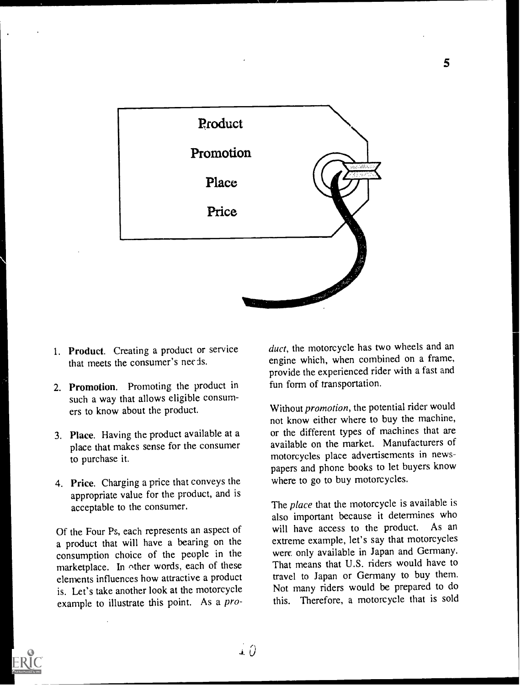

- I. Product. Creating a product or service that meets the consumer's needs.
- 2. Promotion. Promoting the product in such a way that allows eligible consumers to know about the product.
- 3. Place. Having the product available at a place that makes sense for the consumer to purchase it.
- 4. Price. Charging a price that conveys the appropriate value for the product, and is acceptable to the consumer.

Of the Four Ps, each represents an aspect of a product that will have a bearing on the consumption choice of the people in the marketplace. In ether words, each of these elements influences how attractive a product is. Let's take another look at the motorcycle example to illustrate this point. As a product, the motorcycle has two wheels and an engine which, when combined on a frame, provide the experienced rider with a fast and fun form of transportation.

Without *promotion*, the potential rider would not know either where to buy the machine, or the different types of machines that are available on the market. Manufacturers of motorcycles place advertisements in newspapers and phone books to let buyers know where to go to buy motorcycles.

The *place* that the motorcycle is available is also important because it determines who will have access to the product. As an extreme example, let's say that motorcycles were only available in Japan and Germany. That means that U.S. riders would have to travel to Japan or Germany to buy them. Not many riders would be prepared to do this. Therefore, a motorcycle that is sold



5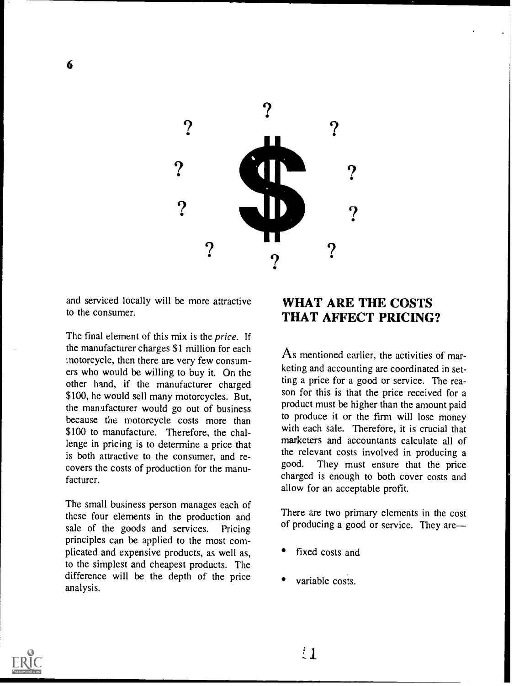

and serviced locally will be more attractive to the consumer.

The final element of this mix is the price. If the manufacturer charges \$1 million for each :notorcycle, then there are very few consumers who would be willing to buy it. On the other hand, if the manufacturer charged \$100, he would sell many motorcycles. But, the manufacturer would go out of business because the motorcycle costs more than \$100 to manufacture. Therefore, the challenge in pricing is to determine a price that is both attractive to the consumer, and recovers the costs of production for the manufacturer.

The small business person manages each of these four elements in the production and sale of the goods and services. Pricing principles can be applied to the most complicated and expensive products, as well as, to the simplest and cheapest products. The difference will be the depth of the price analysis.

# WHAT ARE THE COSTS THAT AFFECT PRICING?

As mentioned earlier, the activities of marketing and accounting are coordinated in setting a price for a good or service. The reason for this is that the price received for a product must be higher than the amount paid to produce it or the firm will lose money with each sale. Therefore, it is crucial that marketers and accountants calculate all of the relevant costs involved in producing a good. They must ensure that the price charged is enough to both cover costs and allow for an acceptable profit.

There are two primary elements in the cost of producing a good or service. They are

- fixed costs and
- variable costs.



 $\overline{1}$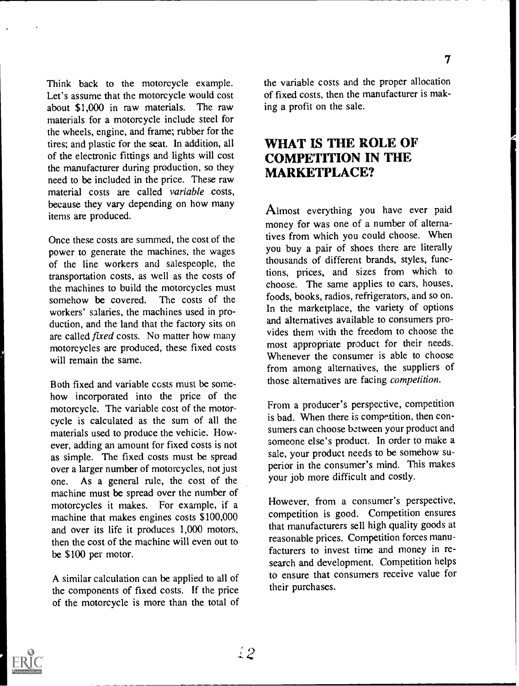Think back to the motorcycle example. Let's assume that the motorcycle would cost about \$1,000 in raw materials. The raw materials for a motorcycle include steel for the wheels, engine, and frame; rubber for the tires; and plastic for the seat. In addition, all of the electronic fittings and lights will cost the manufacturer during production, so they need to be included in the price. These raw material costs are called variable costs, because they vary depending on how many items are produced.

Once these costs are summed, the cost of the power to generate the machines, the wages of the line workers and salespeople, the transportation costs, as well as the costs of the machines to build the motorcycles must somehow be covered. The costs of the workers' salaries, the machines used in production, and the land that the factory sits on are called fixed costs. No matter how many motorcycles are produced, these fixed costs will remain the same.

Both fixed and variable costs must be somehow incorporated into the price of the motorcycle. The variable cost of the motorcycle is calculated as the sum of all the materials used to produce the vehicle. However, adding an amount for fixed costs is not as simple. The fixed costs must be spread over a larger number of motorcycles, not just one. As a general rule, the cost of the machine must be spread over the number of motorcycles it makes. For example, if a machine that makes engines costs \$100,000 and over its life it produces 1,000 motors, then the cost of the machine will even out to be \$100 per motor.

A similar calculation can be applied to all of the components of fixed costs. If the price of the motorcycle is more than the total of the variable costs and the proper allocation of fixed costs, then the manufacturer is making a profit on the sale.

#### WHAT IS THE ROLE OF COMPETITION IN THE MARKETPLACE?

Almost everything you have ever paid money for was one of a number of alternatives from which you could choose. When you buy a pair of shoes there are literally thousands of different brands, styles, functions, prices, and sizes from which to choose. The same applies to cars, houses, foods, books, radios, refrigerators, and so on. In the marketplace, the variety of options and alternatives available to consumers provides them with the freedom to choose the most appropriate product for their needs. Whenever the consumer is able to choose from among alternatives, the suppliers of those alternatives are facing competition.

From a producer's perspective, competition is bad. When there is competition, then consumers can choose bztween your product and someone else's product. In order to make a sale, your product needs to be somehow superior in the consumer's mind. This makes your job more difficult and costly.

However, from a consumer's perspective, competition is good. Competition ensures that manufacturers sell high quality goods at reasonable prices. Competition forces manufacturers to invest time and money in research and development. Competition helps to ensure that consumers receive value for their purchases.

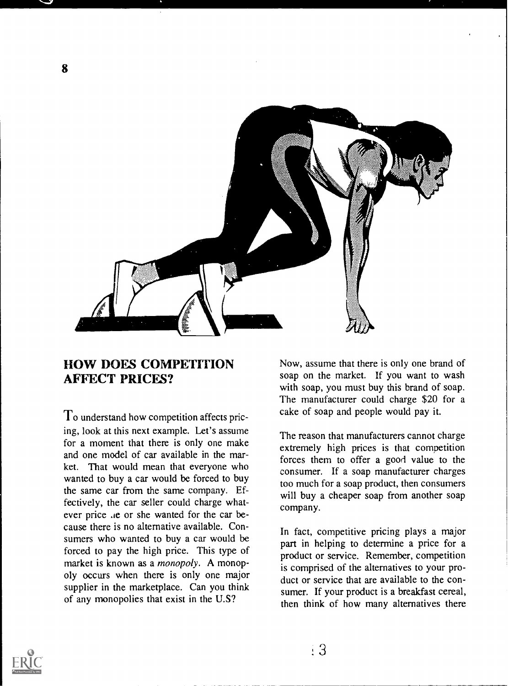

#### HOW DOES COMPETITION AFFECT PRICES?

To understand how competition affects pricing, look at this next example. Let's assume for a moment that there is only one make and one model of car available in the market. That would mean that everyone who wanted to buy a car would be forced to buy the same car from the same company. Effectively, the car seller could charge whatever price .ie or she wanted for the car because there is no alternative available. Consumers who wanted to buy a car would be forced to pay the high price. This type of market is known as a *monopoly*. A monopoly occurs when there is only one major supplier in the marketplace. Can you think of any monopolies that exist in the U.S?

Now, assume that there is only one brand of soap on the market. If you want to wash with soap, you must buy this brand of soap. The manufacturer could charge \$20 for a cake of soap and people would pay it.

The reason that manufacturers cannot charge extremely high prices is that competition forces them to offer a good value to the consumer. If a soap manufacturer charges too much for a soap product, then consumers will buy a cheaper soap from another soap company.

In fact, competitive pricing plays a major part in helping to determine a price for a product or service. Remember, competition is comprised of the alternatives to your product or service that are available to the consumer. If your product is a breakfast cereal, then think of how many alternatives there

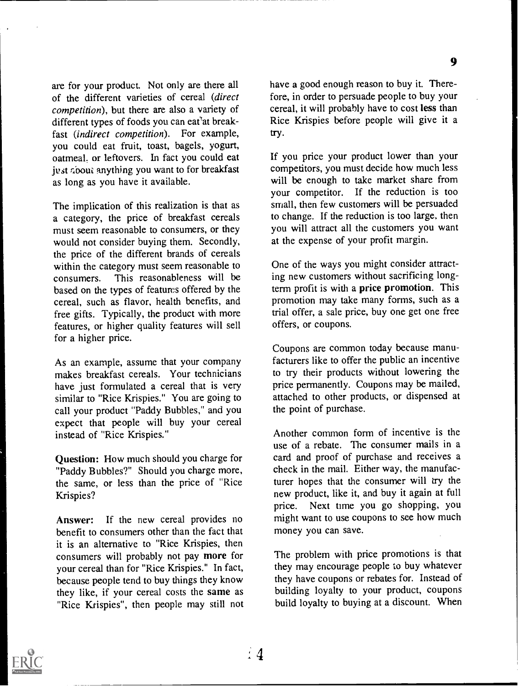9

are for your product. Not only are there all of the different varieties of cereal (direct competition), but there are also a variety of different types of foods you can eat'at breakfast (*indirect competition*). For example, you could eat fruit, toast, bagels, yogurt, oatmeal. or leftovers. In fact you could eat just ribout anything you want to for breakfast as long as you have it available.

The implication of this realization is that as a category, the price of breakfast cereals must seem reasonable to consumers, or they would not consider buying them. Secondly, the price of the different brands of cereals within the category must seem reasonable to consumers. This reasonableness will be based on the types of features offered by the cereal, such as flavor, health benefits, and free gifts. Typically, the product with more features, or higher quality features will sell for a higher price.

As an example, assume that your company makes breakfast cereals. Your technicians have just formulated a cereal that is very similar to "Rice Krispies." You are going to call your product "Paddy Bubbles," and you expect that people will buy your cereal instead of "Rice Krispies."

Question: How much should you charge for "Paddy Bubbles?" Should you charge more, the same, or less than the price of "Rice Krispies?

Answer: If the new cereal provides no benefit to consumers other than the fact that it is an alternative to "Rice Krispies, then consumers will probably not pay more for your cereal than for "Rice Krispies." In fact, because people tend to buy things they know they like, if your cereal costs the same as "Rice Krispies", then people may still not have a good enough reason to buy it. Therefore, in order to persuade people to buy your cereal, it will probably have to cost less than Rice Krispies before people will give it a try.

If you price your product lower than your competitors, you must decide how much less will be enough to take market share from your competitor. If the reduction is too small, then few customers will be persuaded to change. If the reduction is too large, then you will attract all the customers you want at the expense of your profit margin.

One of the ways you might consider attracting new customers without sacrificing longterm profit is with a price promotion. This promotion may take many forms, such as a trial offer, a sale price, buy one get one free offers, or coupons.

Coupons are common today because manufacturers like to offer the public an incentive to try their products without lowering the price permanently. Coupons may be mailed, attached to other products, or dispensed at the point of purchase.

Another common form of incentive is the use of a rebate. The consumer mails in a card and proof of purchase and receives a check in the mail. Either way, the manufacturer hopes that the consumer will try the new product, like it, and buy it again at full price. Next time you go shopping, you might want to use coupons to see how much money you can save.

The problem with price promotions is that they may encourage people to buy whatever they have coupons or rebates for. Instead of building loyalty to your product, coupons build loyalty to buying at a discount. When

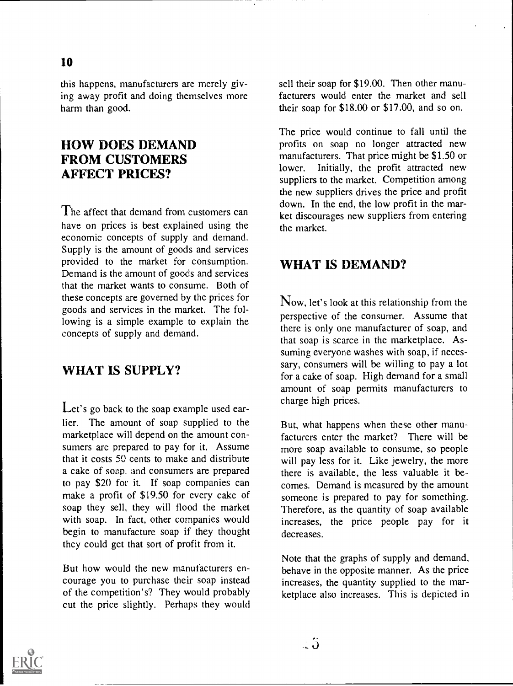this happens, manufacturers are merely giving away profit and doing themselves more harm than good.

#### HOW DOES DEMAND FROM CUSTOMERS AFFECT PRICES?

The affect that demand from customers can have on prices is best explained using the economic concepts of supply and demand. Supply is the amount of goods and services provided to the market for consumption. Demand is the amount of goods and services that the market wants to consume. Both of these concepts are governed by the prices for goods and services in the market. The following is a simple example to explain the concepts of supply and demand.

# WHAT IS SUPPLY?

Let's go back to the soap example used earlier. The amount of soap supplied to the marketplace will depend on the amount consumers are prepared to pay for it. Assume that it costs 50 cents to make and distribute a cake of soap. and consumers are prepared to pay \$20 for it. If soap companies can make a profit of \$19.50 for every cake of soap they sell, they will flood the market with soap. In fact, other companies would begin to manufacture soap if they thought they could get that sort of profit from it.

But how would the new manufacturers encourage you to purchase their soap instead of the competition's? They would probably cut the price slightly. Perhaps they would sell their soap for \$19.00. Then other manufacturers would enter the market and sell their soap for \$18.00 or \$17.00, and so on.

The price would continue to fall until the profits on soap no longer attracted new manufacturers. That price might be \$1.50 or lower. Initially, the profit attracted new suppliers to the market. Competition among the new suppliers drives the price and profit down. In the end, the low profit in the market discourages new suppliers from entering the market.

#### WHAT IS DEMAND?

Now, let's look at this relationship from the perspective of the consumer. Assume that there is only one manufacturer of soap, and that soap is scarce in the marketplace. Assuming everyone washes with soap, if necessary, consumers will be willing to pay a lot for a cake of soap. High demand for a small amount of soap permits manufacturers to charge high prices.

But, what happens when these other manufacturers enter the market? There will be more soap available to consume, so people will pay less for it. Like jewelry, the more there is available, the less valuable it becomes. Demand is measured by the amount someone is prepared to pay for something. Therefore, as the quantity of soap available increases, the price people pay for it decreases.

Note that the graphs of supply and demand, behave in the opposite manner. As the price increases, the quantity supplied to the marketplace also increases. This is depicted in

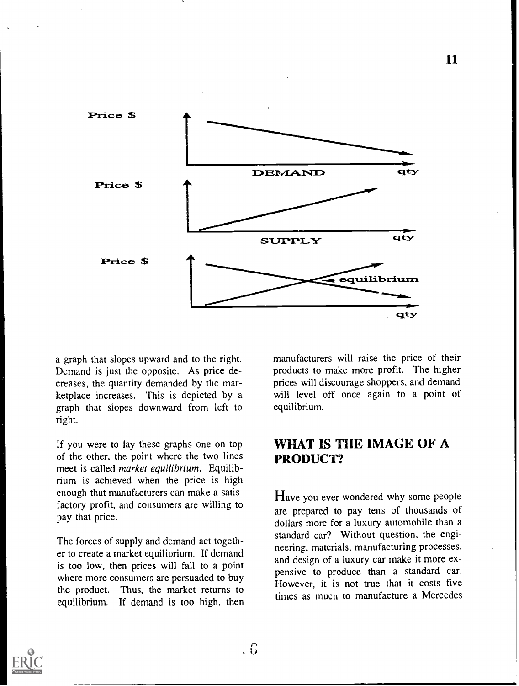

a graph that slopes upward and to the right. Demand is just the opposite. As price decreases, the quantity demanded by the marketplace increases. This is depicted by a graph that slopes downward from left to right.

If you were to lay these graphs one on top of the other, the point where the two lines meet is called market equilibrium. Equilibrium is achieved when the price is high enough that manufacturers can make a satisfactory profit, and consumers are willing to pay that price.

The forces of supply and demand act together to create a market equilibrium. If demand is too low, then prices will fall to a point where more consumers are persuaded to buy the product. Thus, the market returns to equilibrium. If demand is too high, then manufacturers will raise the price of their products to make more profit. The higher prices will discourage shoppers, and demand will level off once again to a point of equilibrium.

#### WHAT IS THE IMAGE OF A PRODUCT?

Have you ever wondered why some people are prepared to pay tens of thousands of dollars more for a luxury automobile than a standard car? Without question, the engineering, materials, manufacturing processes, and design of a luxury car make it more expensive to produce than a standard car. However, it is not true that it costs five times as much to manufacture a Mercedes

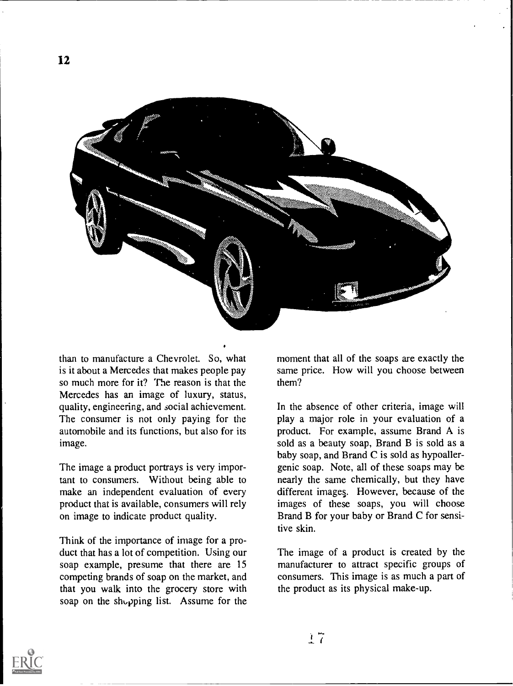

than to manufacture a Chevrolet. So, what is it about a Mercedes that makes people pay so much more for it? The reason is that the Mercedes has an image of luxury, status, quality, engineering, and social achievement. The consumer is not only paying for the automobile and its functions, but also for its image.

The image a product portrays is very important to consumers. Without being able to make an independent evaluation of every product that is available, consumers will rely on image to indicate product quality.

Think of the importance of image for a product that has a lot of competition. Using our soap example, presume that there are 15 competing brands of soap on the market, and that you walk into the grocery store with soap on the shopping list. Assume for the moment that all of the soaps are exactly the same price. How will you choose between them?

In the absence of other criteria, image will play a major role in your evaluation of a product. For example, assume Brand A is sold as a beauty soap, Brand B is sold as a baby soap, and Brand C is sold as hypoallergenic soap. Note, all of these soaps may be nearly the same chemically, but they have different images. However, because of the images of these soaps, you will choose Brand B for your baby or Brand C for sensitive skin.

The image of a product is created by the manufacturer to attract specific groups of consumers. This image is as much a part of the product as its physical make-up.

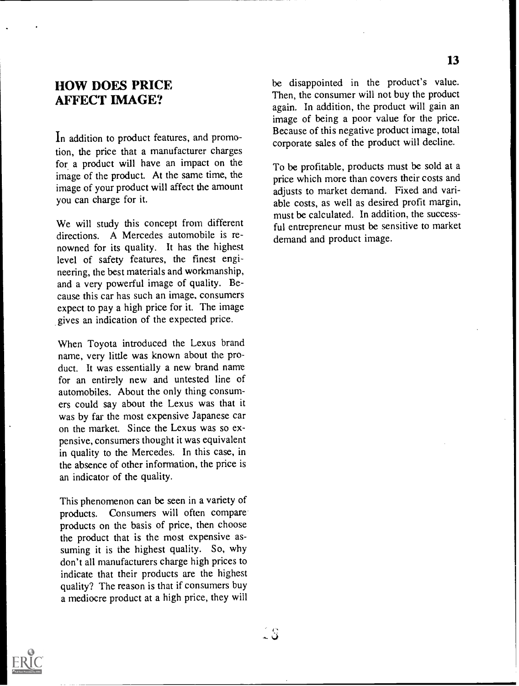#### HOW DOES PRICE AFFECT IMAGE?

In addition to product features, and promotion, the price that a manufacturer charges for a product will have an impact on the image of the product. At the same time, the image of your product will affect the amount you can charge for it.

We will study this concept from different directions. A Mercedes automobile is renowned for its quality. It has the highest level of safety features, the finest engineering, the best materials and workmanship, and a very powerful image of quality. Because this car has such an image, consumers expect to pay a high price for it. The image gives an indication of the expected price.

When Toyota introduced the Lexus brand name, very little was known about the product. It was essentially a new brand name for an entirely new and untested line of automobiles. About the only thing consumers could say about the Lexus was that it was by far the most expensive Japanese car on the market. Since the Lexus was so expensive, consumers thought it was equivalent in quality to the Mercedes. In this case, in the absence of other information, the price is an indicator of the quality.

This phenomenon can be seen in a variety of products. Consumers will often compare products on the basis of price, then choose the product that is the most expensive assuming it is the highest quality. So, why don't all manufacturers charge high prices to indicate that their products are the highest quality? The reason is that if consumers buy a mediocre product at a high price, they will

be disappointed in the product's value. Then, the consumer will not buy the product again. In addition, the product will gain an image of being a poor value for the price. Because of this negative product image, total corporate sales of the product will decline.

To be profitable, products must be sold at a price which more than covers their costs and adjusts to market demand. Fixed and variable costs, as well as desired profit margin, must be calculated. In addition, the successful entrepreneur must be sensitive to market demand and product image.

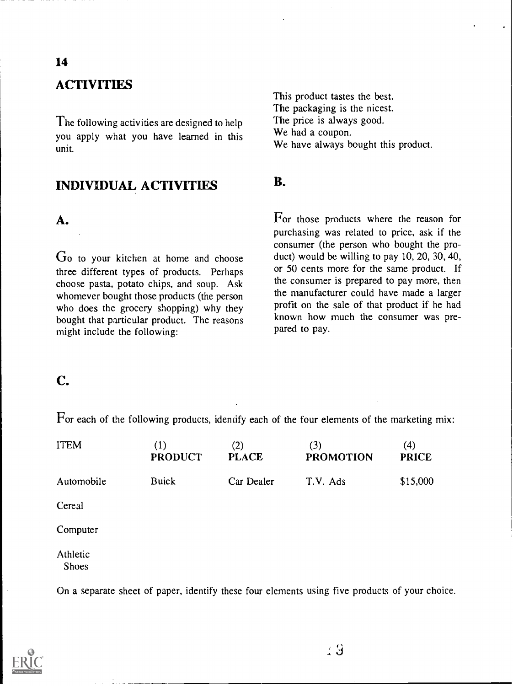# **ACTIVITIES**

The following activities are designed to help you apply what you have learned in this unit.

#### INDIVIDUAL ACTIVITIES

#### A.

Go to your kitchen at home and choose three different types of products. Perhaps choose pasta, potato chips, and soup. Ask whomever bought those products (the person who does the grocery shopping) why they bought that particular product. The reasons might include the following:

This product tastes the best. The packaging is the nicest. The price is always good. We had a coupon. We have always bought this product.

#### B.

For those products where the reason for purchasing was related to price, ask if the consumer (the person who bought the product) would be willing to pay 10, 20, 30, 40, or 50 cents more for the same product. If the consumer is prepared to pay more, then the manufacturer could have made a larger profit on the sale of that product if he had known how much the consumer was prepared to pay.

# C.

For each of the following products, identify each of the four elements of the marketing mix:

| <b>ITEM</b>              | (1)<br><b>PRODUCT</b> | (2)<br><b>PLACE</b> | (3)<br><b>PROMOTION</b> | (4)<br><b>PRICE</b> |
|--------------------------|-----------------------|---------------------|-------------------------|---------------------|
| Automobile               | <b>Buick</b>          | Car Dealer          | T.V. Ads                | \$15,000            |
| Cereal                   |                       |                     |                         |                     |
| Computer                 |                       |                     |                         |                     |
| Athletic<br><b>Shoes</b> |                       |                     |                         |                     |

On a separate sheet of paper, identify these four elements using five products of your choice.



 $\pm 3$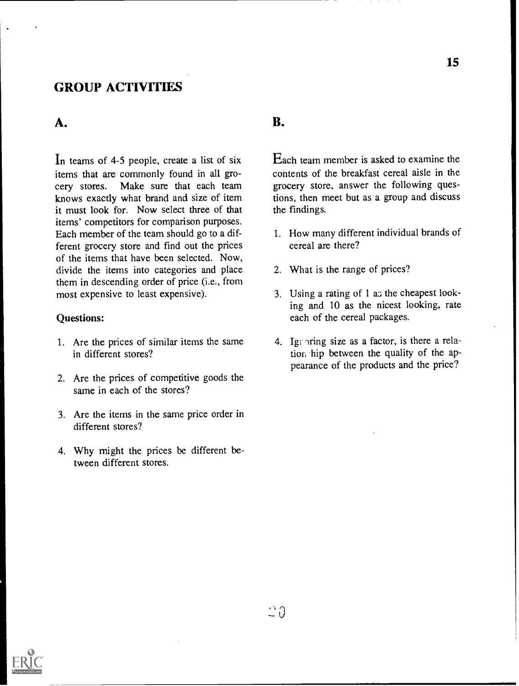#### GROUP ACTIVITIES

#### A.

In teams of 4-5 people, create a list of six items that are commonly found in all grocery stores. Make sure that each team knows exactly what brand and size of item it must look for. Now select three of that items' competitors for comparison purposes. Each member of the team should go to a different grocery store and find out the prices of the items that have been selected. Now, divide the items into categories and place them in descending order of price (i.e., from most expensive to least expensive).

#### Questions:

- 1. Are the prices of similar items the same in different stores?
- 2. Are the prices of competitive goods the same in each of the stores?
- 3. Are the items in the same price order in different stores?
- 4. Why might the prices be different between different stores.

#### B.

Each team member is asked to examine the contents of the breakfast cereal aisle in the grocery store, answer the following questions, then meet but as a group and discuss the findings.

- 1. How many different individual brands of cereal are there?
- 2. What is the range of prices?
- 3. Using a rating of 1 as the cheapest looking and 10 as the nicest looking, rate each of the cereal packages.
- 4. Ignoring size as a factor, is there a relation hip between the quality of the appearance of the products and the price?



15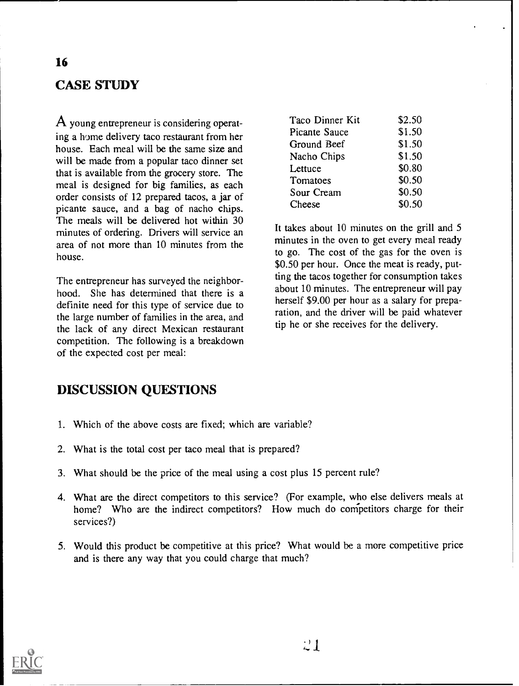# CASE STUDY

A young entrepreneur is considering operating a home delivery taco restaurant from her house. Each meal will be the same size and will be made from a popular taco dinner set that is available from the grocery store. The meal is designed for big families, as each order consists of 12 prepared tacos, a jar of picante sauce, and a bag of nacho chips. The meals will be delivered hot within 30 minutes of ordering. Drivers will service an area of not more than 10 minutes from the house.

The entrepreneur has surveyed the neighborhood. She has determined that there is a definite need for this type of service due to the large number of families in the area, and the lack of any direct Mexican restaurant competition. The following is a breakdown of the expected cost per meal:

| Taco Dinner Kit | \$2.50 |  |
|-----------------|--------|--|
| Picante Sauce   | \$1.50 |  |
| Ground Beef     | \$1.50 |  |
| Nacho Chips     | \$1.50 |  |
| Lettuce         | \$0.80 |  |
| Tomatoes        | \$0.50 |  |
| Sour Cream      | \$0.50 |  |
| Cheese          | \$0.50 |  |

It takes about 10 minutes on the grill and 5 minutes in the oven to get every meal ready to go. The cost of the gas for the oven is \$0.50 per hour. Once the meat is ready, putting the tacos together for consumption takes about 10 minutes. The entrepreneur will pay herself \$9.00 per hour as a salary for preparation, and the driver will be paid whatever tip he or she receives for the delivery.

#### DISCUSSION QUESTIONS

- 1. Which of the above costs are fixed; which are variable?
- 2. What is the total cost per taco meal that is prepared?
- 3. What should be the price of the meal using a cost plus 15 percent rule?
- 4. What are the direct competitors to this service? (For example, who else delivers meals at home? Who are the indirect competitors? How much do competitors charge for their services?)
- 5. Would this product be competitive at this price? What would be a more competitive price and is there any way that you could charge that much?

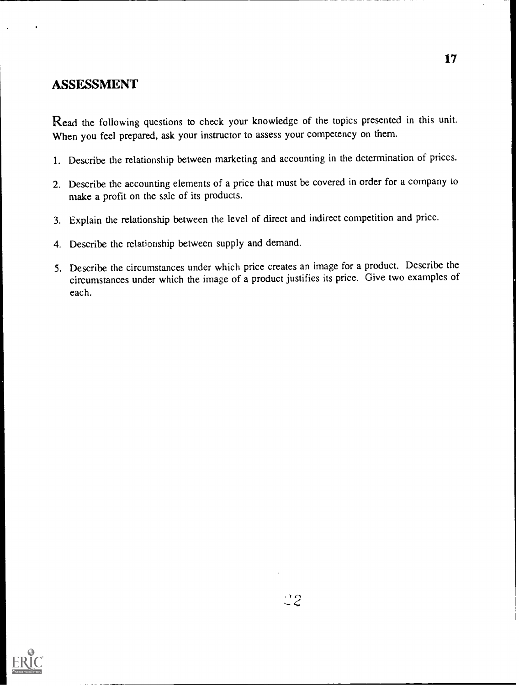#### ASSESSMENT

Read the following questions to check your knowledge of the topics presented in this unit. When you feel prepared, ask your instructor to assess your competency on them.

- 1. Describe the relationship between marketing and accounting in the determination of prices.
- 2. Describe the accounting elements of a price that must be covered in order for a company to make a profit on the sale of its products.
- 3. Explain the relationship between the level of direct and indirect competition and price.
- 4. Describe the relationship between supply and demand.
- 5. Describe the circumstances under which price creates an image for a product. Describe the circumstances under which the image of a product justifies its price. Give two examples of each.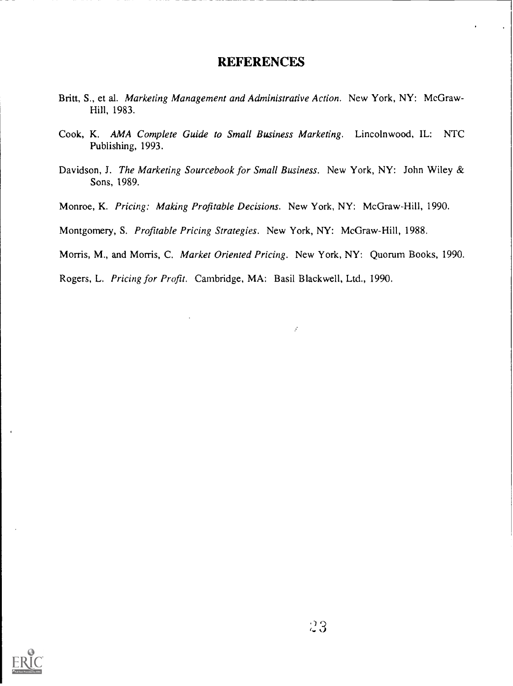#### REFERENCES

- Britt, S., et al. Marketing Management and Administrative Action. New York, NY: McGraw-Hill, 1983.
- Cook, K. AMA Complete Guide to Small Business Marketing. Lincolnwood, IL: NTC Publishing, 1993.
- Davidson, J. The Marketing Sourcebook for Small Business. New York, NY: John Wiley & Sons, 1989.
- Monroe, K. Pricing: Making Profitable Decisions. New York, NY: McGraw-Hill, 1990.

Montgomery, S. Profitable Pricing Strategies. New York, NY: McGraw-Hill, 1988.

Morris, M., and Morris, C. Market Oriented Pricing. New York, NY: Quorum Books, 1990.

ý

Rogers, L. Pricing for Profit. Cambridge, MA: Basil Blackwell, Ltd., 1990.